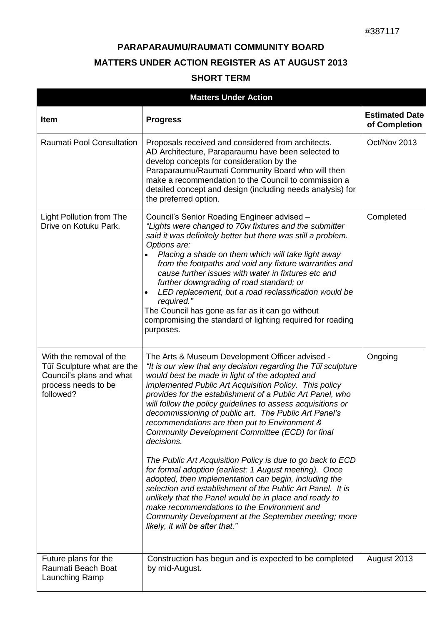## **PARAPARAUMU/RAUMATI COMMUNITY BOARD MATTERS UNDER ACTION REGISTER AS AT AUGUST 2013**

## **SHORT TERM**

| <b>Matters Under Action</b>                                                                                           |                                                                                                                                                                                                                                                                                                                                                                                                                                                                                                                                                                                                                                                                                                                                                                                                                                                                                                                                                                                        |                                        |  |  |  |
|-----------------------------------------------------------------------------------------------------------------------|----------------------------------------------------------------------------------------------------------------------------------------------------------------------------------------------------------------------------------------------------------------------------------------------------------------------------------------------------------------------------------------------------------------------------------------------------------------------------------------------------------------------------------------------------------------------------------------------------------------------------------------------------------------------------------------------------------------------------------------------------------------------------------------------------------------------------------------------------------------------------------------------------------------------------------------------------------------------------------------|----------------------------------------|--|--|--|
| <b>Item</b>                                                                                                           | <b>Progress</b>                                                                                                                                                                                                                                                                                                                                                                                                                                                                                                                                                                                                                                                                                                                                                                                                                                                                                                                                                                        | <b>Estimated Date</b><br>of Completion |  |  |  |
| <b>Raumati Pool Consultation</b>                                                                                      | Proposals received and considered from architects.<br>AD Architecture, Paraparaumu have been selected to<br>develop concepts for consideration by the<br>Paraparaumu/Raumati Community Board who will then<br>make a recommendation to the Council to commission a<br>detailed concept and design (including needs analysis) for<br>the preferred option.                                                                                                                                                                                                                                                                                                                                                                                                                                                                                                                                                                                                                              | Oct/Nov 2013                           |  |  |  |
| <b>Light Pollution from The</b><br>Drive on Kotuku Park.                                                              | Council's Senior Roading Engineer advised -<br>"Lights were changed to 70w fixtures and the submitter<br>said it was definitely better but there was still a problem.<br>Options are:<br>Placing a shade on them which will take light away<br>from the footpaths and void any fixture warranties and<br>cause further issues with water in fixtures etc and<br>further downgrading of road standard; or<br>LED replacement, but a road reclassification would be<br>required."<br>The Council has gone as far as it can go without<br>compromising the standard of lighting required for roading<br>purposes.                                                                                                                                                                                                                                                                                                                                                                         | Completed                              |  |  |  |
| With the removal of the<br>Tūī Sculpture what are the<br>Council's plans and what<br>process needs to be<br>followed? | The Arts & Museum Development Officer advised -<br>"It is our view that any decision regarding the Tui sculpture<br>would best be made in light of the adopted and<br>implemented Public Art Acquisition Policy. This policy<br>provides for the establishment of a Public Art Panel, who<br>will follow the policy guidelines to assess acquisitions or<br>decommissioning of public art. The Public Art Panel's<br>recommendations are then put to Environment &<br>Community Development Committee (ECD) for final<br>decisions.<br>The Public Art Acquisition Policy is due to go back to ECD<br>for formal adoption (earliest: 1 August meeting). Once<br>adopted, then implementation can begin, including the<br>selection and establishment of the Public Art Panel. It is<br>unlikely that the Panel would be in place and ready to<br>make recommendations to the Environment and<br>Community Development at the September meeting; more<br>likely, it will be after that." | Ongoing                                |  |  |  |
| Future plans for the<br>Raumati Beach Boat<br>Launching Ramp                                                          | Construction has begun and is expected to be completed<br>by mid-August.                                                                                                                                                                                                                                                                                                                                                                                                                                                                                                                                                                                                                                                                                                                                                                                                                                                                                                               | August 2013                            |  |  |  |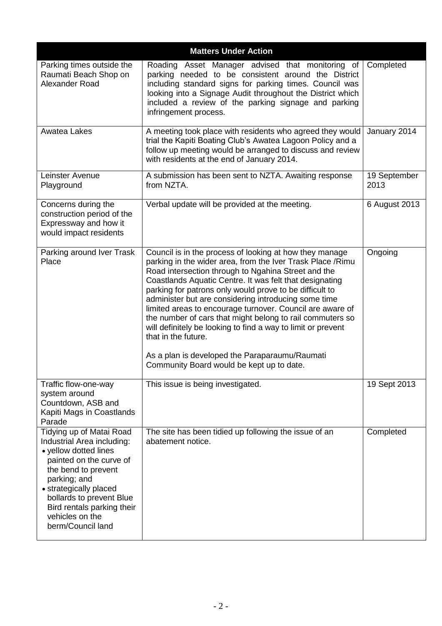| <b>Matters Under Action</b>                                                                                                                                                                                                                                                   |                                                                                                                                                                                                                                                                                                                                                                                                                                                                                                                                                                                                                                                                             |                      |  |  |
|-------------------------------------------------------------------------------------------------------------------------------------------------------------------------------------------------------------------------------------------------------------------------------|-----------------------------------------------------------------------------------------------------------------------------------------------------------------------------------------------------------------------------------------------------------------------------------------------------------------------------------------------------------------------------------------------------------------------------------------------------------------------------------------------------------------------------------------------------------------------------------------------------------------------------------------------------------------------------|----------------------|--|--|
| Parking times outside the<br>Raumati Beach Shop on<br>Alexander Road                                                                                                                                                                                                          | Roading Asset Manager advised that monitoring of<br>parking needed to be consistent around the District<br>including standard signs for parking times. Council was<br>looking into a Signage Audit throughout the District which<br>included a review of the parking signage and parking<br>infringement process.                                                                                                                                                                                                                                                                                                                                                           | Completed            |  |  |
| Awatea Lakes                                                                                                                                                                                                                                                                  | A meeting took place with residents who agreed they would<br>trial the Kapiti Boating Club's Awatea Lagoon Policy and a<br>follow up meeting would be arranged to discuss and review<br>with residents at the end of January 2014.                                                                                                                                                                                                                                                                                                                                                                                                                                          | January 2014         |  |  |
| Leinster Avenue<br>Playground                                                                                                                                                                                                                                                 | A submission has been sent to NZTA. Awaiting response<br>from NZTA.                                                                                                                                                                                                                                                                                                                                                                                                                                                                                                                                                                                                         | 19 September<br>2013 |  |  |
| Concerns during the<br>construction period of the<br>Expressway and how it<br>would impact residents                                                                                                                                                                          | Verbal update will be provided at the meeting.                                                                                                                                                                                                                                                                                                                                                                                                                                                                                                                                                                                                                              | 6 August 2013        |  |  |
| Parking around Iver Trask<br>Place                                                                                                                                                                                                                                            | Council is in the process of looking at how they manage<br>parking in the wider area, from the Iver Trask Place / Rimu<br>Road intersection through to Ngahina Street and the<br>Coastlands Aquatic Centre. It was felt that designating<br>parking for patrons only would prove to be difficult to<br>administer but are considering introducing some time<br>limited areas to encourage turnover. Council are aware of<br>the number of cars that might belong to rail commuters so<br>will definitely be looking to find a way to limit or prevent<br>that in the future.<br>As a plan is developed the Paraparaumu/Raumati<br>Community Board would be kept up to date. | Ongoing              |  |  |
| Traffic flow-one-way<br>system around<br>Countdown, ASB and<br>Kapiti Mags in Coastlands<br>Parade                                                                                                                                                                            | This issue is being investigated.                                                                                                                                                                                                                                                                                                                                                                                                                                                                                                                                                                                                                                           | 19 Sept 2013         |  |  |
| Tidying up of Matai Road<br>Industrial Area including:<br>• yellow dotted lines<br>painted on the curve of<br>the bend to prevent<br>parking; and<br>• strategically placed<br>bollards to prevent Blue<br>Bird rentals parking their<br>vehicles on the<br>berm/Council land | The site has been tidied up following the issue of an<br>abatement notice.                                                                                                                                                                                                                                                                                                                                                                                                                                                                                                                                                                                                  | Completed            |  |  |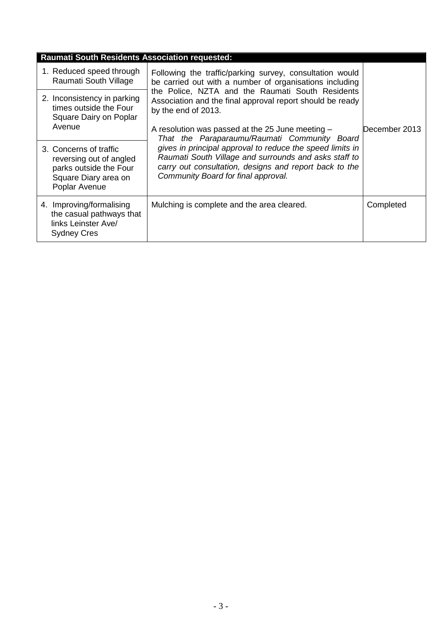| <b>Raumati South Residents Association requested:</b> |                                                                                                                      |                                                                                                                                                                                                                                                                                                                                                                                                                                                                                                                                                                                        |               |  |  |  |
|-------------------------------------------------------|----------------------------------------------------------------------------------------------------------------------|----------------------------------------------------------------------------------------------------------------------------------------------------------------------------------------------------------------------------------------------------------------------------------------------------------------------------------------------------------------------------------------------------------------------------------------------------------------------------------------------------------------------------------------------------------------------------------------|---------------|--|--|--|
|                                                       | 1. Reduced speed through<br>Raumati South Village                                                                    | Following the traffic/parking survey, consultation would<br>be carried out with a number of organisations including<br>the Police, NZTA and the Raumati South Residents<br>Association and the final approval report should be ready<br>by the end of 2013.<br>A resolution was passed at the 25 June meeting -<br>That the Paraparaumu/Raumati Community Board<br>gives in principal approval to reduce the speed limits in<br>Raumati South Village and surrounds and asks staff to<br>carry out consultation, designs and report back to the<br>Community Board for final approval. | December 2013 |  |  |  |
|                                                       | 2. Inconsistency in parking<br>times outside the Four<br>Square Dairy on Poplar<br>Avenue                            |                                                                                                                                                                                                                                                                                                                                                                                                                                                                                                                                                                                        |               |  |  |  |
|                                                       | 3. Concerns of traffic<br>reversing out of angled<br>parks outside the Four<br>Square Diary area on<br>Poplar Avenue |                                                                                                                                                                                                                                                                                                                                                                                                                                                                                                                                                                                        |               |  |  |  |
|                                                       | 4. Improving/formalising<br>the casual pathways that<br>links Leinster Ave/<br><b>Sydney Cres</b>                    | Mulching is complete and the area cleared.                                                                                                                                                                                                                                                                                                                                                                                                                                                                                                                                             | Completed     |  |  |  |